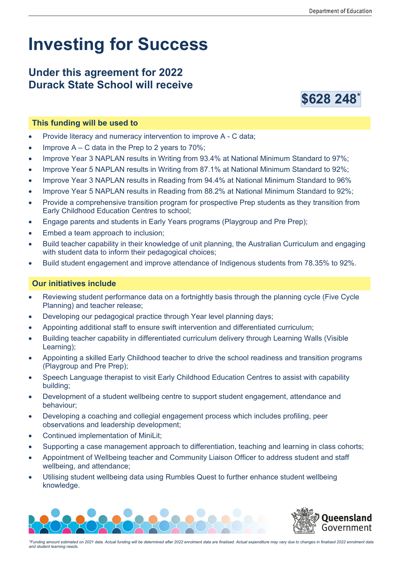# **Investing for Success**

## **Under this agreement for 2022 Durack State School will receive**



### **This funding will be used to**

- Provide literacy and numeracy intervention to improve A C data;
- Improve  $A C$  data in the Prep to 2 years to 70%;
- Improve Year 3 NAPLAN results in Writing from 93.4% at National Minimum Standard to 97%;
- Improve Year 5 NAPLAN results in Writing from 87.1% at National Minimum Standard to 92%;
- Improve Year 3 NAPLAN results in Reading from 94.4% at National Minimum Standard to 96%
- Improve Year 5 NAPLAN results in Reading from 88.2% at National Minimum Standard to 92%;
- Provide a comprehensive transition program for prospective Prep students as they transition from Early Childhood Education Centres to school;
- Engage parents and students in Early Years programs (Playgroup and Pre Prep);
- Embed a team approach to inclusion;
- Build teacher capability in their knowledge of unit planning, the Australian Curriculum and engaging with student data to inform their pedagogical choices;
- Build student engagement and improve attendance of Indigenous students from 78.35% to 92%.

#### **Our initiatives include**

- Reviewing student performance data on a fortnightly basis through the planning cycle (Five Cycle Planning) and teacher release;
- Developing our pedagogical practice through Year level planning days;
- Appointing additional staff to ensure swift intervention and differentiated curriculum;
- Building teacher capability in differentiated curriculum delivery through Learning Walls (Visible Learning);
- Appointing a skilled Early Childhood teacher to drive the school readiness and transition programs (Playgroup and Pre Prep);
- Speech Language therapist to visit Early Childhood Education Centres to assist with capability building;
- Development of a student wellbeing centre to support student engagement, attendance and behaviour;
- Developing a coaching and collegial engagement process which includes profiling, peer observations and leadership development;
- Continued implementation of MiniLit:
- Supporting a case management approach to differentiation, teaching and learning in class cohorts;
- Appointment of Wellbeing teacher and Community Liaison Officer to address student and staff wellbeing, and attendance;
- Utilising student wellbeing data using Rumbles Quest to further enhance student wellbeing knowledge.